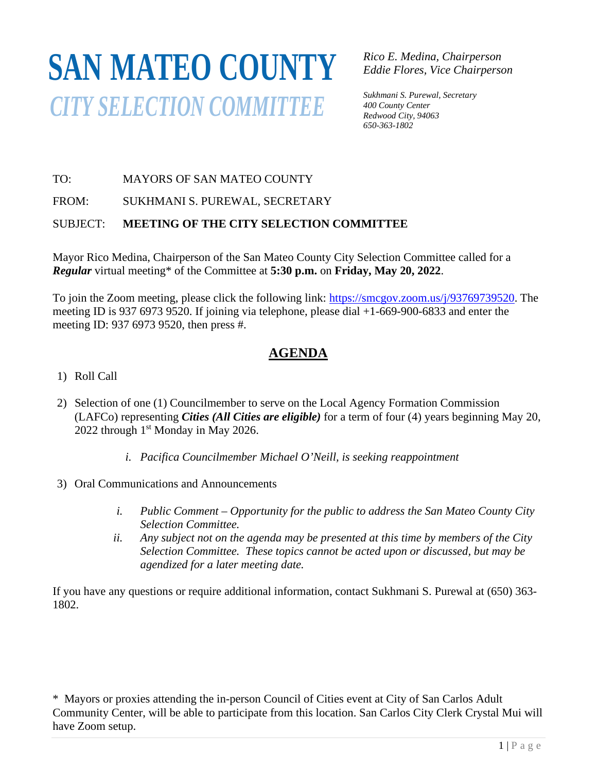# **SAN MATEO COUNTY***CITY SELECTION COMMITTEE*

*Rico E. Medina, Chairperson Eddie Flores, Vice Chairperson*

*Sukhmani S. Purewal, Secretary 400 County Center Redwood City, 94063 650-363-1802*

### TO: MAYORS OF SAN MATEO COUNTY

FROM: SUKHMANI S. PUREWAL, SECRETARY

#### SUBJECT: **MEETING OF THE CITY SELECTION COMMITTEE**

Mayor Rico Medina, Chairperson of the San Mateo County City Selection Committee called for a *Regular* virtual meeting\* of the Committee at **5:30 p.m.** on **Friday, May 20, 2022**.

To join the Zoom meeting, please click the following link: [https://smcgov.zoom.us/j/93769739520.](https://smcgov.zoom.us/j/93769739520) The meeting ID is 937 6973 9520. If joining via telephone, please dial +1-669-900-6833 and enter the meeting ID: 937 6973 9520, then press #.

## **AGENDA**

- 1) Roll Call
- 2) Selection of one (1) Councilmember to serve on the Local Agency Formation Commission (LAFCo) representing *Cities (All Cities are eligible)* for a term of four (4) years beginning May 20, 2022 through 1<sup>st</sup> Monday in May 2026.
	- *i. Pacifica Councilmember Michael O'Neill, is seeking reappointment*
- 3) Oral Communications and Announcements
	- *i. Public Comment – Opportunity for the public to address the San Mateo County City Selection Committee.*
	- *ii. Any subject not on the agenda may be presented at this time by members of the City Selection Committee. These topics cannot be acted upon or discussed, but may be agendized for a later meeting date.*

If you have any questions or require additional information, contact Sukhmani S. Purewal at (650) 363- 1802.

\* Mayors or proxies attending the in-person Council of Cities event at City of San Carlos Adult Community Center, will be able to participate from this location. San Carlos City Clerk Crystal Mui will have Zoom setup.